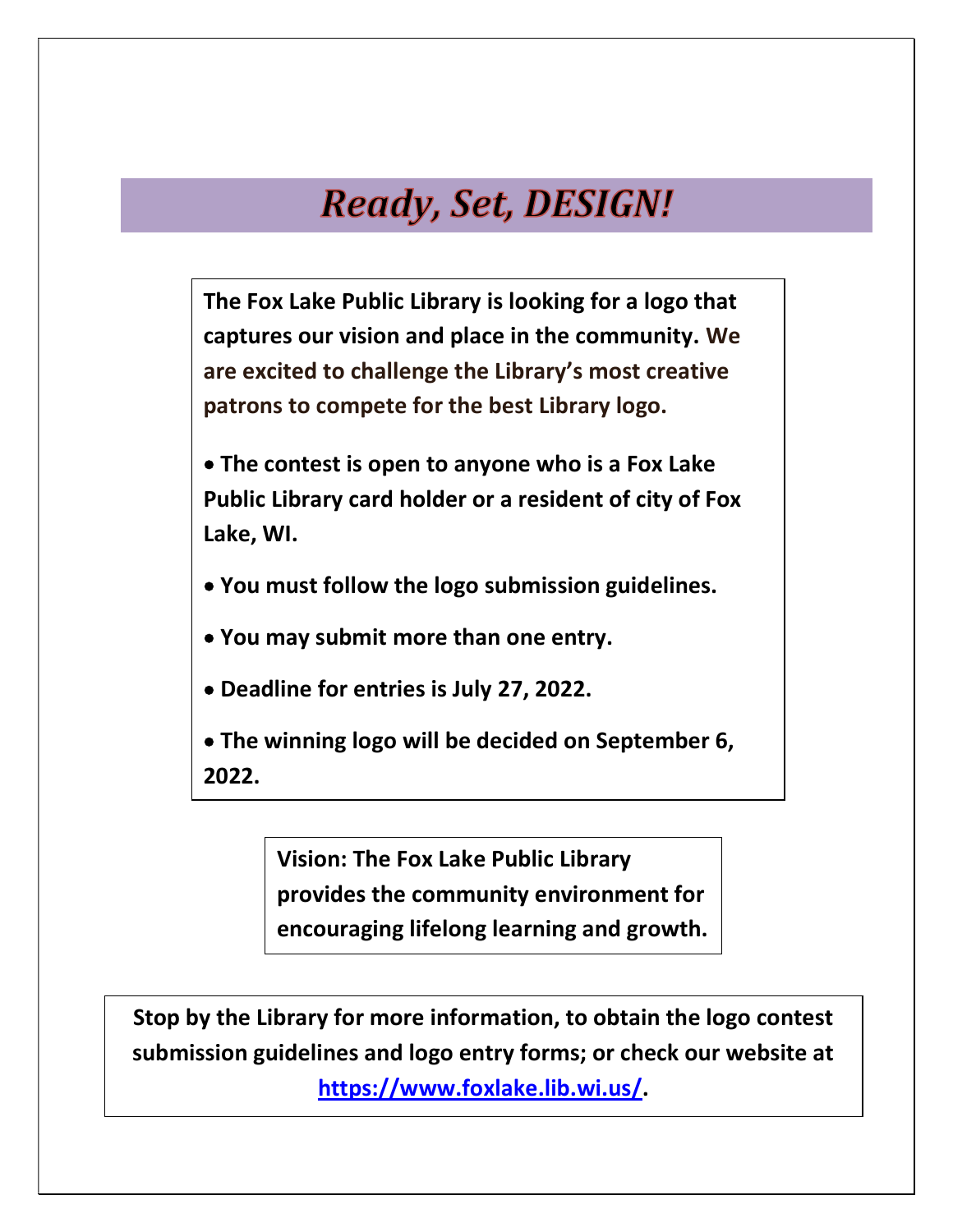## **Ready, Set, DESIGN!**

The Fox Lake Public Library is looking for a logo that captures our vision and place in the community. We are excited to challenge the Library's most creative patrons to compete for the best Library logo.

- The contest is open to anyone who is a Fox Lake Public Library card holder or a resident of city of Fox Lake, WI.
- You must follow the logo submission guidelines.
- You may submit more than one entry.
- Deadline for entries is July 27, 2022.
- The winning logo will be decided on September 6, 2022.

Vision: The Fox Lake Public Library provides the community environment for encouraging lifelong learning and growth.

Stop by the Library for more information, to obtain the logo contest submission guidelines and logo entry forms; or check our website at https://www.foxlake.lib.wi.us/.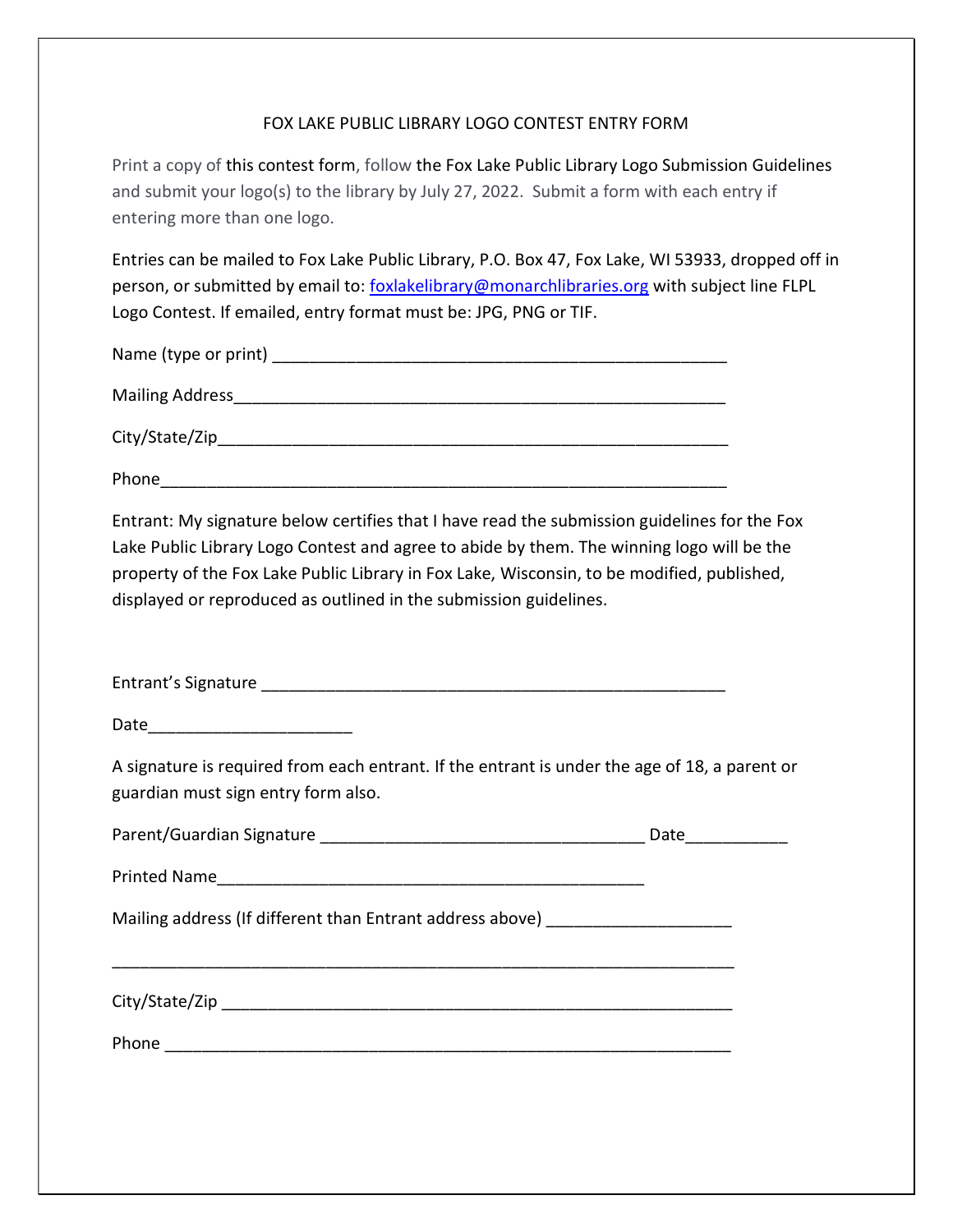## FOX LAKE PUBLIC LIBRARY LOGO CONTEST ENTRY FORM

Print a copy of this contest form, follow the Fox Lake Public Library Logo Submission Guidelines and submit your logo(s) to the library by July 27, 2022. Submit a form with each entry if entering more than one logo.

Entries can be mailed to Fox Lake Public Library, P.O. Box 47, Fox Lake, WI 53933, dropped off in person, or submitted by email to: foxlakelibrary@monarchlibraries.org with subject line FLPL Logo Contest. If emailed, entry format must be: JPG, PNG or TIF.

| Name (type or print) _ |  |
|------------------------|--|
| <b>Mailing Address</b> |  |
| City/State/Zip         |  |

Phone\_\_\_\_\_\_\_\_\_\_\_\_\_\_\_\_\_\_\_\_\_\_\_\_\_\_\_\_\_\_\_\_\_\_\_\_\_\_\_\_\_\_\_\_\_\_\_\_\_\_\_\_\_\_\_\_\_\_\_\_\_

Entrant: My signature below certifies that I have read the submission guidelines for the Fox Lake Public Library Logo Contest and agree to abide by them. The winning logo will be the property of the Fox Lake Public Library in Fox Lake, Wisconsin, to be modified, published, displayed or reproduced as outlined in the submission guidelines.

Entrant's Signature \_\_\_\_\_\_\_\_\_\_\_\_\_\_\_\_\_\_\_\_\_\_\_\_\_\_\_\_\_\_\_\_\_\_\_\_\_\_\_\_\_\_\_\_\_\_\_\_\_\_

Date\_\_\_\_\_\_\_\_\_\_\_\_\_\_\_\_\_\_\_\_\_\_

A signature is required from each entrant. If the entrant is under the age of 18, a parent or guardian must sign entry form also.

|                                                                                  | Date |
|----------------------------------------------------------------------------------|------|
|                                                                                  |      |
| Mailing address (If different than Entrant address above) ______________________ |      |
|                                                                                  |      |
|                                                                                  |      |
|                                                                                  |      |
|                                                                                  |      |
|                                                                                  |      |